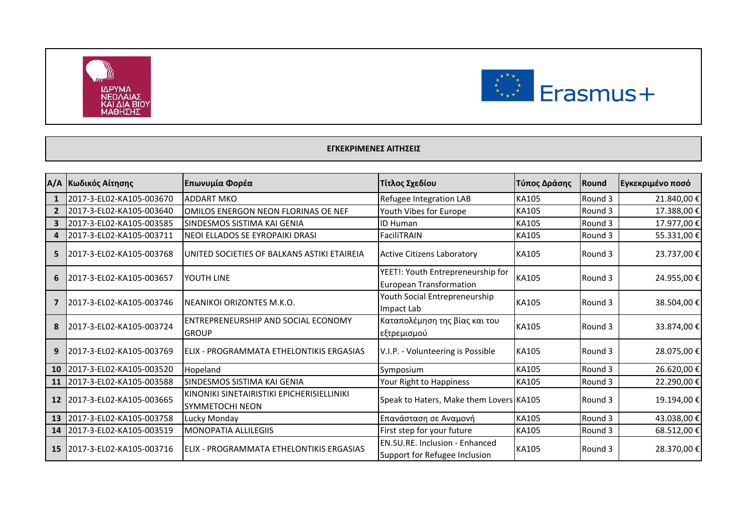



## **ΕΓΚΕΚΡΙΜΕΝΕΣ ΑΙΤΗΣΕΙΣ**

|                | Α/Α Κωδικός Αίτησης      | Επωνυμία Φορέα                                                       | Τίτλος Σχεδίου                                                         | Τύπος Δράσης | <b>Round</b> | Εγκεκριμένο ποσό |
|----------------|--------------------------|----------------------------------------------------------------------|------------------------------------------------------------------------|--------------|--------------|------------------|
|                | 2017-3-EL02-KA105-003670 | <b>ADDART MKO</b>                                                    | Refugee Integration LAB                                                | KA105        | Round 3      | 21.840,00 €      |
| $\overline{2}$ | 2017-3-EL02-KA105-003640 | OMILOS ENERGON NEON FLORINAS OE NEF                                  | Youth Vibes for Europe                                                 | KA105        | Round 3      | 17.388,00 €      |
| 3              | 2017-3-EL02-KA105-003585 | SINDESMOS SISTIMA KAI GENIA                                          | <b>ID Human</b>                                                        | KA105        | Round 3      | 17.977,00 €      |
| 4              | 2017-3-EL02-KA105-003711 | NEOI ELLADOS SE EYROPAIKI DRASI                                      | FaciliTRAIN                                                            | KA105        | Round 3      | 55.331,00 €      |
| 5              | 2017-3-EL02-KA105-003768 | UNITED SOCIETIES OF BALKANS ASTIKI ETAIREIA                          | <b>Active Citizens Laboratory</b>                                      | <b>KA105</b> | Round 3      | 23.737,00 €      |
| 6              | 2017-3-EL02-KA105-003657 | YOUTH LINE                                                           | YEET!: Youth Entrepreneurship for<br><b>European Transformation</b>    | KA105        | Round 3      | 24.955,00 €      |
|                | 2017-3-EL02-KA105-003746 | INEANIKOI ORIZONTES M.K.O.                                           | Youth Social Entrepreneurship<br>Impact Lab                            | KA105        | Round 3      | 38.504,00 €      |
| 8              | 2017-3-EL02-KA105-003724 | ENTREPRENEURSHIP AND SOCIAL ECONOMY<br><b>GROUP</b>                  | Καταπολέμηση της βίας και του<br>εξτρεμισμού                           | KA105        | Round 3      | 33.874,00 €      |
| 9              | 2017-3-EL02-KA105-003769 | ELIX - PROGRAMMATA ETHELONTIKIS ERGASIAS                             | V.I.P. - Volunteering is Possible                                      | KA105        | Round 3      | 28.075,00 €      |
| <b>10</b>      | 2017-3-EL02-KA105-003520 | Hopeland                                                             | Symposium                                                              | <b>KA105</b> | Round 3      | 26.620,00€       |
| 11             | 2017-3-EL02-KA105-003588 | SINDESMOS SISTIMA KAI GENIA                                          | Your Right to Happiness                                                | <b>KA105</b> | Round 3      | 22.290,00€       |
| 12             | 2017-3-EL02-KA105-003665 | KINONIKI SINETAIRISTIKI EPICHERISIELLINIKI<br><b>SYMMETOCHI NEON</b> | Speak to Haters, Make them Lovers KA105                                |              | Round 3      | 19.194,00€       |
| 13             | 2017-3-EL02-KA105-003758 | Lucky Monday                                                         | Επανάσταση σε Αναμονή                                                  | KA105        | Round 3      | 43.038,00 €      |
| 14             | 2017-3-EL02-KA105-003519 | <b>MONOPATIA ALLILEGIIS</b>                                          | First step for your future                                             | KA105        | Round 3      | 68.512,00 €      |
| <b>15</b>      | 2017-3-EL02-KA105-003716 | ELIX - PROGRAMMATA ETHELONTIKIS ERGASIAS                             | <b>EN.SU.RE. Inclusion - Enhanced</b><br>Support for Refugee Inclusion | <b>KA105</b> | Round 3      | 28.370,00 €      |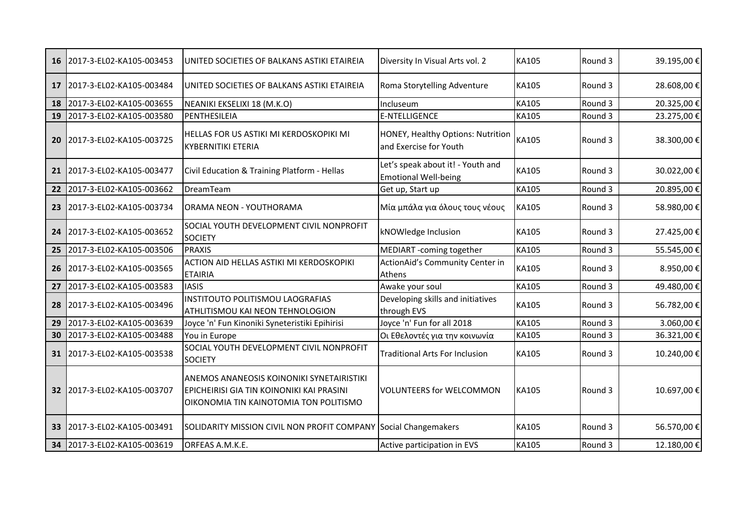| 16              | 2017-3-EL02-KA105-003453 | UNITED SOCIETIES OF BALKANS ASTIKI ETAIREIA                                                                                             | Diversity In Visual Arts vol. 2                                  | KA105        | Round 3 | 39.195,00€ |
|-----------------|--------------------------|-----------------------------------------------------------------------------------------------------------------------------------------|------------------------------------------------------------------|--------------|---------|------------|
| 17              | 2017-3-EL02-KA105-003484 | UNITED SOCIETIES OF BALKANS ASTIKI ETAIREIA                                                                                             | Roma Storytelling Adventure                                      | KA105        | Round 3 | 28.608,00€ |
| 18              | 2017-3-EL02-KA105-003655 | NEANIKI EKSELIXI 18 (M.K.O)                                                                                                             | Incluseum                                                        | KA105        | Round 3 | 20.325,00€ |
| 19              | 2017-3-EL02-KA105-003580 | PENTHESILEIA                                                                                                                            | <b>E-NTELLIGENCE</b>                                             | KA105        | Round 3 | 23.275,00€ |
| 20              | 2017-3-EL02-KA105-003725 | HELLAS FOR US ASTIKI MI KERDOSKOPIKI MI<br><b>KYBERNITIKI ETERIA</b>                                                                    | HONEY, Healthy Options: Nutrition<br>and Exercise for Youth      | KA105        | Round 3 | 38.300,00€ |
| 21              | 2017-3-EL02-KA105-003477 | Civil Education & Training Platform - Hellas                                                                                            | Let's speak about it! - Youth and<br><b>Emotional Well-being</b> | KA105        | Round 3 | 30.022,00€ |
| 22              | 2017-3-EL02-KA105-003662 | DreamTeam                                                                                                                               | Get up, Start up                                                 | KA105        | Round 3 | 20.895,00€ |
| 23              | 2017-3-EL02-KA105-003734 | ORAMA NEON - YOUTHORAMA                                                                                                                 | Μία μπάλα για όλους τους νέους                                   | KA105        | Round 3 | 58.980,00€ |
| 24              | 2017-3-EL02-KA105-003652 | SOCIAL YOUTH DEVELOPMENT CIVIL NONPROFIT<br><b>SOCIETY</b>                                                                              | kNOWledge Inclusion                                              | KA105        | Round 3 | 27.425,00€ |
| 25              | 2017-3-EL02-KA105-003506 | <b>PRAXIS</b>                                                                                                                           | MEDIART -coming together                                         | KA105        | Round 3 | 55.545,00€ |
| 26              | 2017-3-EL02-KA105-003565 | ACTION AID HELLAS ASTIKI MI KERDOSKOPIKI<br><b>ETAIRIA</b>                                                                              | ActionAid's Community Center in<br>Athens                        | KA105        | Round 3 | 8.950,00€  |
| 27              | 2017-3-EL02-KA105-003583 | <b>IASIS</b>                                                                                                                            | Awake your soul                                                  | KA105        | Round 3 | 49.480,00€ |
| 28              | 2017-3-EL02-KA105-003496 | INSTITOUTO POLITISMOU LAOGRAFIAS<br>ATHLITISMOU KAI NEON TEHNOLOGION                                                                    | Developing skills and initiatives<br>through EVS                 | KA105        | Round 3 | 56.782,00€ |
| 29              | 2017-3-EL02-KA105-003639 | Joyce 'n' Fun Kinoniki Syneteristiki Epihirisi                                                                                          | Joyce 'n' Fun for all 2018                                       | <b>KA105</b> | Round 3 | 3.060,00€  |
| 30              | 2017-3-EL02-KA105-003488 | You in Europe                                                                                                                           | Οι Εθελοντές για την κοινωνία                                    | KA105        | Round 3 | 36.321,00€ |
| 31              | 2017-3-EL02-KA105-003538 | SOCIAL YOUTH DEVELOPMENT CIVIL NONPROFIT<br><b>SOCIETY</b>                                                                              | <b>Traditional Arts For Inclusion</b>                            | KA105        | Round 3 | 10.240,00€ |
| 32 <sub>2</sub> | 2017-3-EL02-KA105-003707 | <b>ANEMOS ANANEOSIS KOINONIKI SYNETAIRISTIKI</b><br>EPICHEIRISI GIA TIN KOINONIKI KAI PRASINI<br>OIKONOMIA TIN KAINOTOMIA TON POLITISMO | <b>VOLUNTEERS for WELCOMMON</b>                                  | <b>KA105</b> | Round 3 | 10.697,00€ |
| 33              | 2017-3-EL02-KA105-003491 | SOLIDARITY MISSION CIVIL NON PROFIT COMPANY Social Changemakers                                                                         |                                                                  | KA105        | Round 3 | 56.570,00€ |
| 34              | 2017-3-EL02-KA105-003619 | ORFEAS A.M.K.E.                                                                                                                         | Active participation in EVS                                      | <b>KA105</b> | Round 3 | 12.180,00€ |